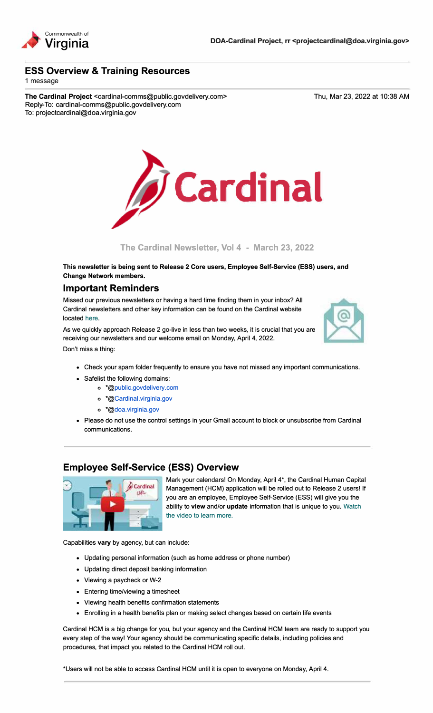

## **ESS Overview** & **Training Resources**

1 message

**The Cardinal Project** <cardinal-comms@public.govdelivery.com> Reply-To: cardinal-comms@public.govdelivery.com To: projectcardinal@doa.virginia.gov

Thu, Mar 23, 2022 at 10:38 AM



### **The Cardinal Newsletter, Vol 4 - March 23, 2022**

**This newsletter is being sent to Release 2 Core users, Employee Self-Service (ESS) users, and Change Network members.** 

## **Important Reminders**

Missed our previous newsletters or having a hard time finding them in your inbox? All Cardinal newsletters and other key information can be found on the Cardinal website located here.

As we quickly approach Release 2 go-live in less than two weeks, it is crucial that you are receiving our newsletters and our welcome email on Monday, April 4, 2022. Don't miss a thing:



- Check your spam folder frequently to ensure you have not missed any important communications.
- Safelist the following domains:
	- o \*@public.govdelivery.com
	- o \*@Cardinal.virginia.gov
	- o \*@doa.virginia.gov
- Please do not use the control settings in your Gmail account to block or unsubscribe from Cardinal communications.

# **Employee Self-Service (ESS) Overview**



Mark your calendars! On Monday, April 4\*, the Cardinal Human Capital Management (HCM) application will be rolled out to Release 2 users! If you are an employee, Employee Self-Service (ESS) will give you the ability to **view** and/or **update** information that is unique to you. [Watch](https://www.youtube.com/watch?v=9LgIUYOHesQ&t=113s)  [the video to learn more.](https://www.youtube.com/watch?v=9LgIUYOHesQ&t=113s) 

Capabilities **vary** by agency, but can include:

- Updating personal information (such as home address or phone number)
- Updating direct deposit banking information
- Viewing a paycheck or W-2
- Entering time/viewing a timesheet
- Viewing health benefits confirmation statements
- Enrolling in a health benefits plan or making select changes based on certain life events

Cardinal HCM is a big change for you, but your agency and the Cardinal HCM team are ready to support you every step of the way! Your agency should be communicating specific details, including policies and procedures, that impact you related to the Cardinal HCM roll out.

\*Users will not be able to access Cardinal HCM until it is open to everyone on Monday, April 4.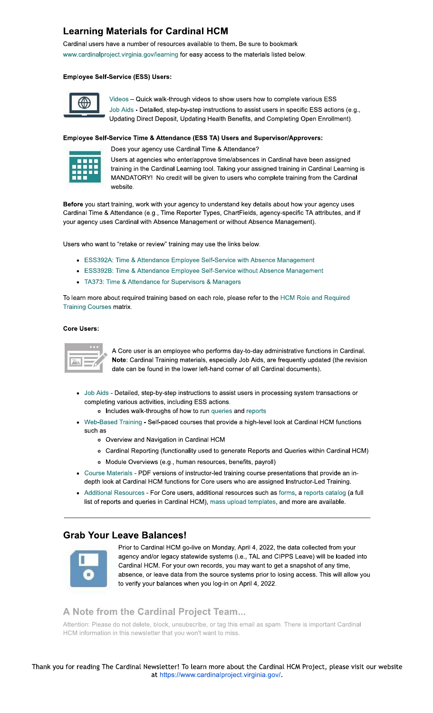# **Learning Materials for Cardinal HCM**

Cardinal users have a number of resources available to them. Be sure to bookmark www.cardinalproject.virginia.gov/learning for easy access to the materials listed below.

#### **Employee Self-Service (ESS) Users:**



Videos - Quick walk-through videos to show users how to complete various ESS Job Aids - Detailed, step-by-step instructions to assist users in specific ESS actions (e.g., Updating Direct Deposit, Updating Health Benefits, and Completing Open Enrollment).

#### Employee Self-Service Time & Attendance (ESS TA) Users and Supervisor/Approvers:



Does your agency use Cardinal Time & Attendance?

Users at agencies who enter/approve time/absences in Cardinal have been assigned training in the Cardinal Learning tool. Taking your assigned training in Cardinal Learning is MANDATORY! No credit will be given to users who complete training from the Cardinal website

Before you start training, work with your agency to understand key details about how your agency uses Cardinal Time & Attendance (e.g., Time Reporter Types, ChartFields, agency-specific TA attributes, and if your agency uses Cardinal with Absence Management or without Absence Management).

Users who want to "retake or review" training may use the links below.

- ESS392A: Time & Attendance Employee Self-Service with Absence Management
- ESS392B: Time & Attendance Employee Self-Service without Absence Management
- TA373: Time & Attendance for Supervisors & Managers

To learn more about required training based on each role, please refer to the HCM Role and Required **Training Courses matrix.** 

#### **Core Users:**



A Core user is an employee who performs day-to-day administrative functions in Cardinal. Note: Cardinal Training materials, especially Job Aids, are frequently updated (the revision date can be found in the lower left-hand corner of all Cardinal documents).

• Job Aids - Detailed, step-by-step instructions to assist users in processing system transactions or completing various activities, including ESS actions.

o Includes walk-throughs of how to run queries and reports

- Web-Based Training Self-paced courses that provide a high-level look at Cardinal HCM functions such as
	- o Overview and Navigation in Cardinal HCM
	- o Cardinal Reporting (functionality used to generate Reports and Queries within Cardinal HCM)
	- o Module Overviews (e.g., human resources, benefits, payroll)
- Course Materials PDF versions of instructor-led training course presentations that provide an indepth look at Cardinal HCM functions for Core users who are assigned Instructor-Led Training.
- Additional Resources For Core users, additional resources such as forms, a reports catalog (a full list of reports and queries in Cardinal HCM), mass upload templates, and more are available.

# **Grab Your Leave Balances!**



Prior to Cardinal HCM go-live on Monday, April 4, 2022, the data collected from your agency and/or legacy statewide systems (i.e., TAL and CIPPS Leave) will be loaded into Cardinal HCM. For your own records, you may want to get a snapshot of any time, absence, or leave data from the source systems prior to losing access. This will allow you to verify your balances when you log-in on April 4, 2022.

## A Note from the Cardinal Project Team...

Attention: Please do not delete, block, unsubscribe, or tag this email as spam. There is important Cardinal HCM information in this newsletter that you won't want to miss.